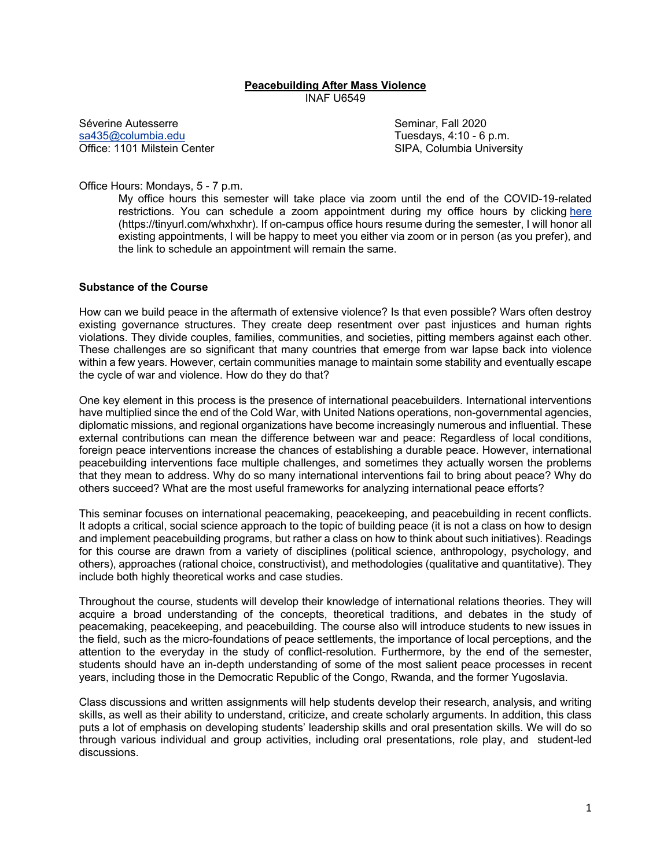### **Peacebuilding After Mass Violence** INAF U6549

Séverine Autesserre Seminar, Fall 2020 sa435@columbia.edu Tuesdays, 4:10 - 6 p.m. Office: 1101 Milstein Center Sipple SIPA, Columbia University

Office Hours: Mondays, 5 - 7 p.m.

My office hours this semester will take place via zoom until the end of the COVID-19-related restrictions. You can schedule a zoom appointment during my office hours by clicking here (https://tinyurl.com/whxhxhr). If on-campus office hours resume during the semester, I will honor all existing appointments, I will be happy to meet you either via zoom or in person (as you prefer), and the link to schedule an appointment will remain the same.

#### **Substance of the Course**

How can we build peace in the aftermath of extensive violence? Is that even possible? Wars often destroy existing governance structures. They create deep resentment over past injustices and human rights violations. They divide couples, families, communities, and societies, pitting members against each other. These challenges are so significant that many countries that emerge from war lapse back into violence within a few years. However, certain communities manage to maintain some stability and eventually escape the cycle of war and violence. How do they do that?

One key element in this process is the presence of international peacebuilders. International interventions have multiplied since the end of the Cold War, with United Nations operations, non-governmental agencies, diplomatic missions, and regional organizations have become increasingly numerous and influential. These external contributions can mean the difference between war and peace: Regardless of local conditions, foreign peace interventions increase the chances of establishing a durable peace. However, international peacebuilding interventions face multiple challenges, and sometimes they actually worsen the problems that they mean to address. Why do so many international interventions fail to bring about peace? Why do others succeed? What are the most useful frameworks for analyzing international peace efforts?

This seminar focuses on international peacemaking, peacekeeping, and peacebuilding in recent conflicts. It adopts a critical, social science approach to the topic of building peace (it is not a class on how to design and implement peacebuilding programs, but rather a class on how to think about such initiatives). Readings for this course are drawn from a variety of disciplines (political science, anthropology, psychology, and others), approaches (rational choice, constructivist), and methodologies (qualitative and quantitative). They include both highly theoretical works and case studies.

Throughout the course, students will develop their knowledge of international relations theories. They will acquire a broad understanding of the concepts, theoretical traditions, and debates in the study of peacemaking, peacekeeping, and peacebuilding. The course also will introduce students to new issues in the field, such as the micro-foundations of peace settlements, the importance of local perceptions, and the attention to the everyday in the study of conflict-resolution. Furthermore, by the end of the semester, students should have an in-depth understanding of some of the most salient peace processes in recent years, including those in the Democratic Republic of the Congo, Rwanda, and the former Yugoslavia.

Class discussions and written assignments will help students develop their research, analysis, and writing skills, as well as their ability to understand, criticize, and create scholarly arguments. In addition, this class puts a lot of emphasis on developing students' leadership skills and oral presentation skills. We will do so through various individual and group activities, including oral presentations, role play, and student-led discussions.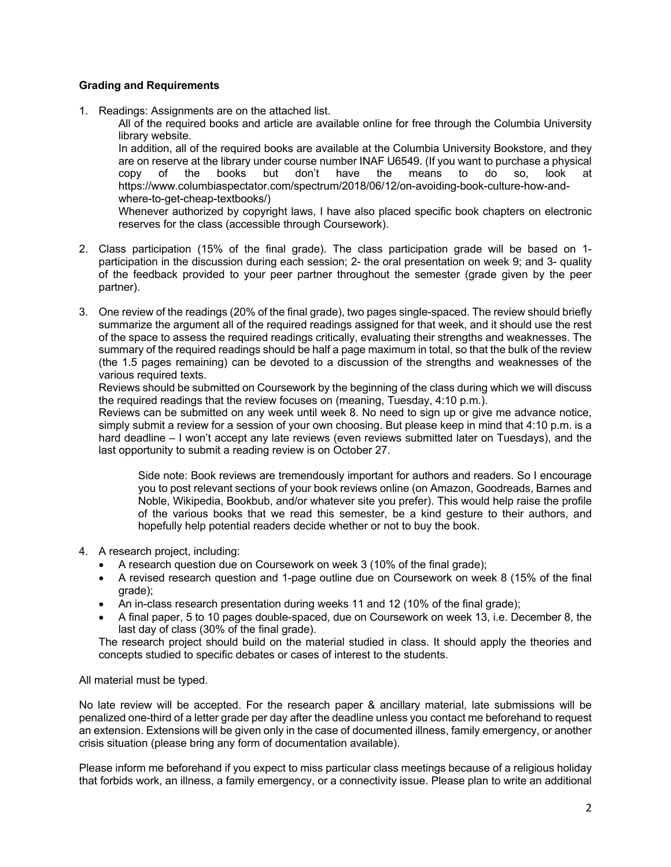# **Grading and Requirements**

1. Readings: Assignments are on the attached list.

All of the required books and article are available online for free through the Columbia University library website.

In addition, all of the required books are available at the Columbia University Bookstore, and they are on reserve at the library under course number INAF U6549. (If you want to purchase a physical copy of the books but don't have the means to do so, look at https://www.columbiaspectator.com/spectrum/2018/06/12/on-avoiding-book-culture-how-andwhere-to-get-cheap-textbooks/)

Whenever authorized by copyright laws, I have also placed specific book chapters on electronic reserves for the class (accessible through Coursework).

- 2. Class participation (15% of the final grade). The class participation grade will be based on 1 participation in the discussion during each session; 2- the oral presentation on week 9; and 3- quality of the feedback provided to your peer partner throughout the semester (grade given by the peer partner).
- 3. One review of the readings (20% of the final grade), two pages single-spaced. The review should briefly summarize the argument all of the required readings assigned for that week, and it should use the rest of the space to assess the required readings critically, evaluating their strengths and weaknesses. The summary of the required readings should be half a page maximum in total, so that the bulk of the review (the 1.5 pages remaining) can be devoted to a discussion of the strengths and weaknesses of the various required texts.

Reviews should be submitted on Coursework by the beginning of the class during which we will discuss the required readings that the review focuses on (meaning, Tuesday, 4:10 p.m.).

Reviews can be submitted on any week until week 8. No need to sign up or give me advance notice, simply submit a review for a session of your own choosing. But please keep in mind that 4:10 p.m. is a hard deadline – I won't accept any late reviews (even reviews submitted later on Tuesdays), and the last opportunity to submit a reading review is on October 27.

Side note: Book reviews are tremendously important for authors and readers. So I encourage you to post relevant sections of your book reviews online (on Amazon, Goodreads, Barnes and Noble, Wikipedia, Bookbub, and/or whatever site you prefer). This would help raise the profile of the various books that we read this semester, be a kind gesture to their authors, and hopefully help potential readers decide whether or not to buy the book.

- 4. A research project, including:
	- A research question due on Coursework on week 3 (10% of the final grade);
	- A revised research question and 1-page outline due on Coursework on week 8 (15% of the final grade);
	- An in-class research presentation during weeks 11 and 12 (10% of the final grade);
	- A final paper, 5 to 10 pages double-spaced, due on Coursework on week 13, i.e. December 8, the last day of class (30% of the final grade).

The research project should build on the material studied in class. It should apply the theories and concepts studied to specific debates or cases of interest to the students.

## All material must be typed.

No late review will be accepted. For the research paper & ancillary material, late submissions will be penalized one-third of a letter grade per day after the deadline unless you contact me beforehand to request an extension. Extensions will be given only in the case of documented illness, family emergency, or another crisis situation (please bring any form of documentation available).

Please inform me beforehand if you expect to miss particular class meetings because of a religious holiday that forbids work, an illness, a family emergency, or a connectivity issue. Please plan to write an additional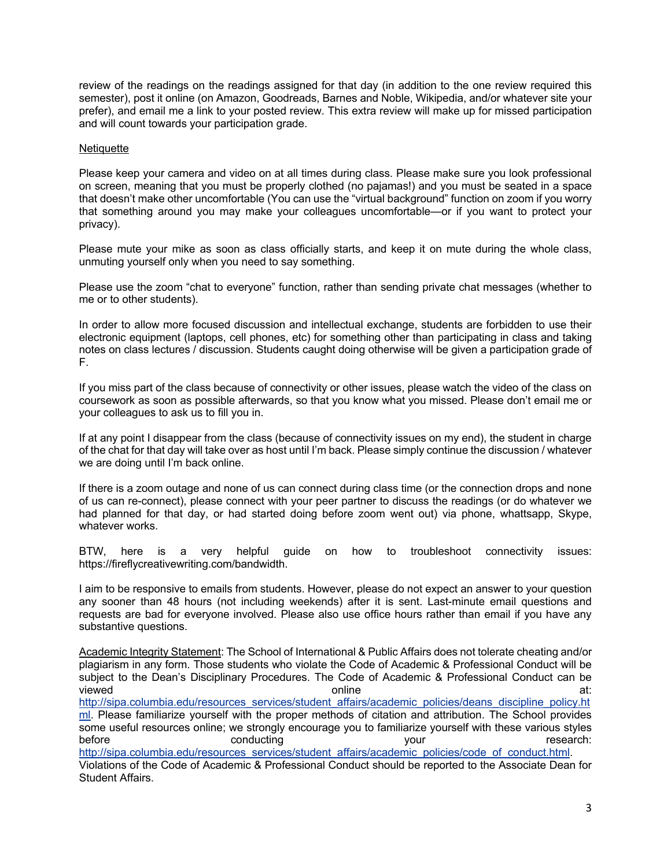review of the readings on the readings assigned for that day (in addition to the one review required this semester), post it online (on Amazon, Goodreads, Barnes and Noble, Wikipedia, and/or whatever site your prefer), and email me a link to your posted review. This extra review will make up for missed participation and will count towards your participation grade.

# **Netiquette**

Please keep your camera and video on at all times during class. Please make sure you look professional on screen, meaning that you must be properly clothed (no pajamas!) and you must be seated in a space that doesn't make other uncomfortable (You can use the "virtual background" function on zoom if you worry that something around you may make your colleagues uncomfortable—or if you want to protect your privacy).

Please mute your mike as soon as class officially starts, and keep it on mute during the whole class, unmuting yourself only when you need to say something.

Please use the zoom "chat to everyone" function, rather than sending private chat messages (whether to me or to other students).

In order to allow more focused discussion and intellectual exchange, students are forbidden to use their electronic equipment (laptops, cell phones, etc) for something other than participating in class and taking notes on class lectures / discussion. Students caught doing otherwise will be given a participation grade of F.

If you miss part of the class because of connectivity or other issues, please watch the video of the class on coursework as soon as possible afterwards, so that you know what you missed. Please don't email me or your colleagues to ask us to fill you in.

If at any point I disappear from the class (because of connectivity issues on my end), the student in charge of the chat for that day will take over as host until I'm back. Please simply continue the discussion / whatever we are doing until I'm back online.

If there is a zoom outage and none of us can connect during class time (or the connection drops and none of us can re-connect), please connect with your peer partner to discuss the readings (or do whatever we had planned for that day, or had started doing before zoom went out) via phone, whattsapp, Skype, whatever works.

BTW, here is a very helpful guide on how to troubleshoot connectivity issues: https://fireflycreativewriting.com/bandwidth.

I aim to be responsive to emails from students. However, please do not expect an answer to your question any sooner than 48 hours (not including weekends) after it is sent. Last-minute email questions and requests are bad for everyone involved. Please also use office hours rather than email if you have any substantive questions.

Academic Integrity Statement: The School of International & Public Affairs does not tolerate cheating and/or plagiarism in any form. Those students who violate the Code of Academic & Professional Conduct will be subject to the Dean's Disciplinary Procedures. The Code of Academic & Professional Conduct can be viewed online at: http://sipa.columbia.edu/resources\_services/student\_affairs/academic\_policies/deans\_discipline\_policy.ht ml. Please familiarize yourself with the proper methods of citation and attribution. The School provides some useful resources online; we strongly encourage you to familiarize yourself with these various styles<br>: conducting before vour before the conducting test of the conducting test of the vour test of the research: http://sipa.columbia.edu/resources\_services/student\_affairs/academic\_policies/code\_of\_conduct.html. Violations of the Code of Academic & Professional Conduct should be reported to the Associate Dean for Student Affairs.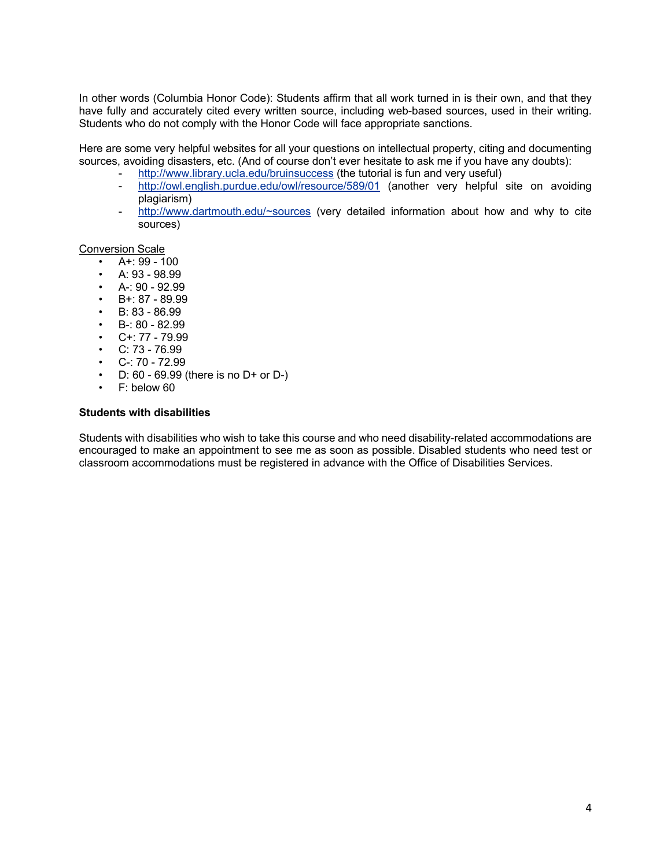In other words (Columbia Honor Code): Students affirm that all work turned in is their own, and that they have fully and accurately cited every written source, including web-based sources, used in their writing. Students who do not comply with the Honor Code will face appropriate sanctions.

Here are some very helpful websites for all your questions on intellectual property, citing and documenting sources, avoiding disasters, etc. (And of course don't ever hesitate to ask me if you have any doubts):

- http://www.library.ucla.edu/bruinsuccess (the tutorial is fun and very useful)
- http://owl.english.purdue.edu/owl/resource/589/01 (another very helpful site on avoiding plagiarism)
- http://www.dartmouth.edu/~sources (very detailed information about how and why to cite sources)

### Conversion Scale

- $\cdot$  A+: 99 100
- A:  $93 98.99$
- $A-190-92.99$
- $\cdot$  B+: 87 89.99
- B: 83 86.99
- $\cdot$  B-: 80 82.99
- $\cdot$  C+: 77 79.99
- $\cdot$  C: 73 76.99
- $C-: 70 72.99$
- D:  $60 69.99$  (there is no  $D+$  or  $D-$ )
- F: below 60

### **Students with disabilities**

Students with disabilities who wish to take this course and who need disability-related accommodations are encouraged to make an appointment to see me as soon as possible. Disabled students who need test or classroom accommodations must be registered in advance with the Office of Disabilities Services.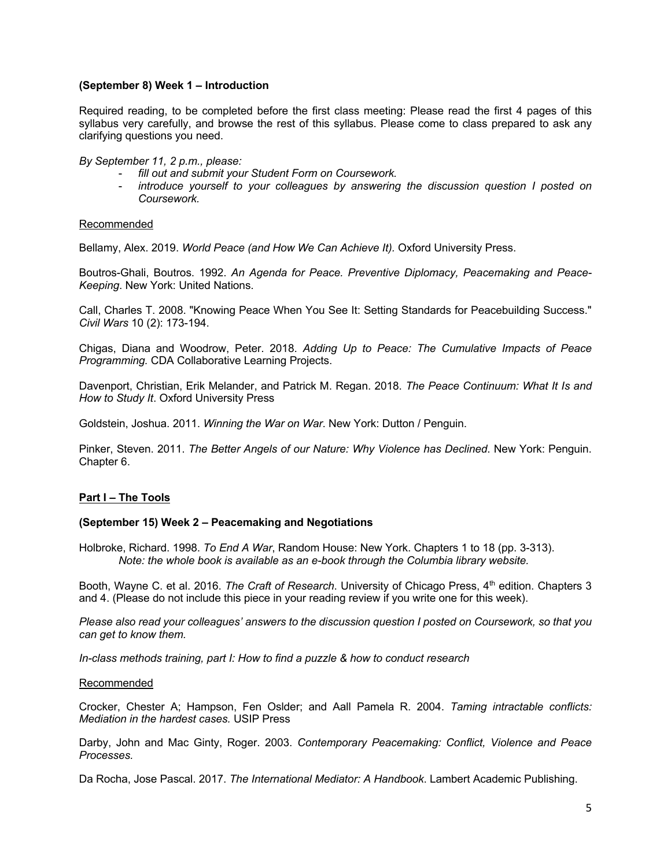## **(September 8) Week 1 – Introduction**

Required reading, to be completed before the first class meeting: Please read the first 4 pages of this syllabus very carefully, and browse the rest of this syllabus. Please come to class prepared to ask any clarifying questions you need.

*By September 11, 2 p.m., please:* 

- *fill out and submit your Student Form on Coursework.*
- *introduce yourself to your colleagues by answering the discussion question I posted on Coursework.*

## Recommended

Bellamy, Alex. 2019. *World Peace (and How We Can Achieve It).* Oxford University Press.

Boutros-Ghali, Boutros. 1992. *An Agenda for Peace. Preventive Diplomacy, Peacemaking and Peace-Keeping*. New York: United Nations.

Call, Charles T. 2008. "Knowing Peace When You See It: Setting Standards for Peacebuilding Success." *Civil Wars* 10 (2): 173-194.

Chigas, Diana and Woodrow, Peter. 2018. *Adding Up to Peace: The Cumulative Impacts of Peace Programming.* CDA Collaborative Learning Projects.

Davenport, Christian, Erik Melander, and Patrick M. Regan. 2018. *The Peace Continuum: What It Is and How to Study It*. Oxford University Press

Goldstein, Joshua. 2011. *Winning the War on War*. New York: Dutton / Penguin.

Pinker, Steven. 2011. *The Better Angels of our Nature: Why Violence has Declined*. New York: Penguin. Chapter 6.

## **Part I – The Tools**

## **(September 15) Week 2 – Peacemaking and Negotiations**

Holbroke, Richard. 1998. *To End A War*, Random House: New York. Chapters 1 to 18 (pp. 3-313). *Note: the whole book is available as an e-book through the Columbia library website.*

Booth, Wayne C. et al. 2016. *The Craft of Research*. University of Chicago Press, 4<sup>th</sup> edition. Chapters 3 and 4. (Please do not include this piece in your reading review if you write one for this week).

*Please also read your colleagues' answers to the discussion question I posted on Coursework, so that you can get to know them.*

*In-class methods training, part I: How to find a puzzle & how to conduct research*

#### Recommended

Crocker, Chester A; Hampson, Fen Oslder; and Aall Pamela R. 2004. *Taming intractable conflicts: Mediation in the hardest cases.* USIP Press

Darby, John and Mac Ginty, Roger. 2003. *Contemporary Peacemaking: Conflict, Violence and Peace Processes.*

Da Rocha, Jose Pascal. 2017. *The International Mediator: A Handbook*. Lambert Academic Publishing.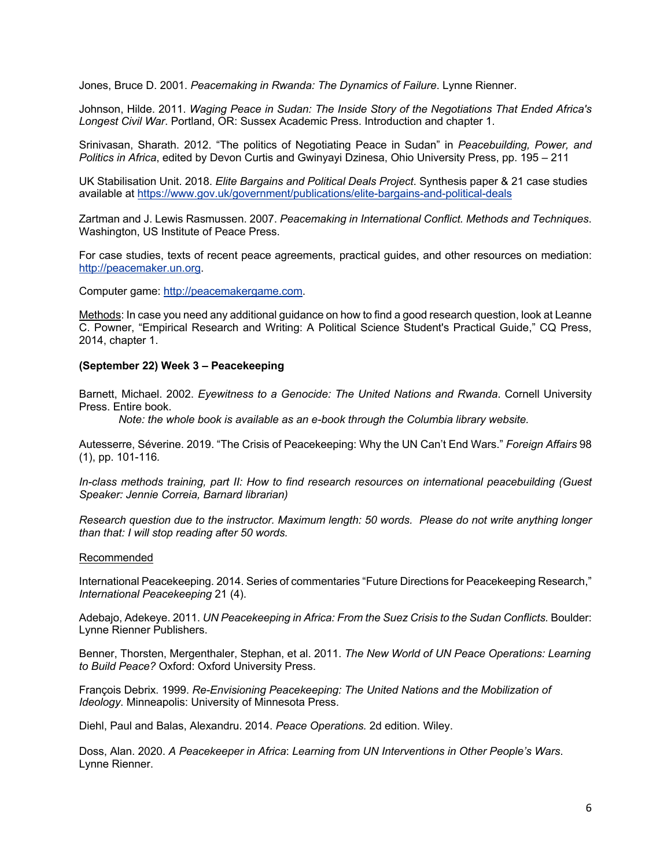Jones, Bruce D. 2001. *Peacemaking in Rwanda: The Dynamics of Failure*. Lynne Rienner.

Johnson, Hilde. 2011. *Waging Peace in Sudan: The Inside Story of the Negotiations That Ended Africa's Longest Civil War*. Portland, OR: Sussex Academic Press. Introduction and chapter 1.

Srinivasan, Sharath. 2012. "The politics of Negotiating Peace in Sudan" in *Peacebuilding, Power, and Politics in Africa*, edited by Devon Curtis and Gwinyayi Dzinesa, Ohio University Press, pp. 195 – 211

UK Stabilisation Unit. 2018. *Elite Bargains and Political Deals Project*. Synthesis paper & 21 case studies available at https://www.gov.uk/government/publications/elite-bargains-and-political-deals

Zartman and J. Lewis Rasmussen. 2007. *Peacemaking in International Conflict. Methods and Techniques*. Washington, US Institute of Peace Press.

For case studies, texts of recent peace agreements, practical guides, and other resources on mediation: http://peacemaker.un.org.

Computer game: http://peacemakergame.com.

Methods: In case you need any additional guidance on how to find a good research question, look at Leanne C. Powner, "Empirical Research and Writing: A Political Science Student's Practical Guide," CQ Press, 2014, chapter 1.

### **(September 22) Week 3 – Peacekeeping**

Barnett, Michael. 2002. *Eyewitness to a Genocide: The United Nations and Rwanda*. Cornell University Press. Entire book.

*Note: the whole book is available as an e-book through the Columbia library website.*

Autesserre, Séverine. 2019. "The Crisis of Peacekeeping: Why the UN Can't End Wars." *Foreign Affairs* 98 (1), pp. 101-116*.*

*In-class methods training, part II: How to find research resources on international peacebuilding (Guest Speaker: Jennie Correia, Barnard librarian)*

*Research question due to the instructor. Maximum length: 50 words. Please do not write anything longer than that: I will stop reading after 50 words.*

#### Recommended

International Peacekeeping. 2014. Series of commentaries "Future Directions for Peacekeeping Research," *International Peacekeeping* 21 (4).

Adebajo, Adekeye. 2011. *UN Peacekeeping in Africa: From the Suez Crisis to the Sudan Conflicts.* Boulder: Lynne Rienner Publishers.

Benner, Thorsten, Mergenthaler, Stephan, et al. 2011. *The New World of UN Peace Operations: Learning to Build Peace?* Oxford: Oxford University Press.

François Debrix. 1999. *Re-Envisioning Peacekeeping: The United Nations and the Mobilization of Ideology*. Minneapolis: University of Minnesota Press.

Diehl, Paul and Balas, Alexandru. 2014. *Peace Operations.* 2d edition. Wiley.

Doss, Alan. 2020. *A Peacekeeper in Africa*: *Learning from UN Interventions in Other People's Wars*. Lynne Rienner.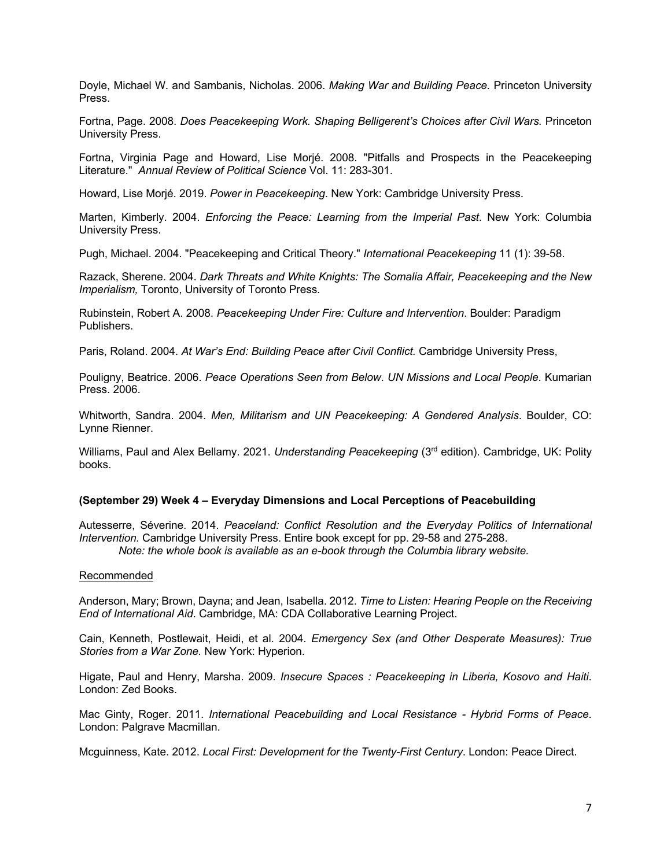Doyle, Michael W. and Sambanis, Nicholas. 2006. *Making War and Building Peace.* Princeton University Press.

Fortna, Page. 2008. *Does Peacekeeping Work. Shaping Belligerent's Choices after Civil Wars.* Princeton University Press.

Fortna, Virginia Page and Howard, Lise Morjé. 2008. "Pitfalls and Prospects in the Peacekeeping Literature." *Annual Review of Political Science* Vol. 11: 283-301.

Howard, Lise Morjé. 2019. *Power in Peacekeeping*. New York: Cambridge University Press.

Marten, Kimberly. 2004. *Enforcing the Peace: Learning from the Imperial Past*. New York: Columbia University Press.

Pugh, Michael. 2004. "Peacekeeping and Critical Theory." *International Peacekeeping* 11 (1): 39-58.

Razack, Sherene. 2004. *Dark Threats and White Knights: The Somalia Affair, Peacekeeping and the New Imperialism,* Toronto, University of Toronto Press.

Rubinstein, Robert A. 2008. *Peacekeeping Under Fire: Culture and Intervention*. Boulder: Paradigm Publishers.

Paris, Roland. 2004. *At War's End: Building Peace after Civil Conflict.* Cambridge University Press,

Pouligny, Beatrice. 2006. *Peace Operations Seen from Below*. *UN Missions and Local People*. Kumarian Press. 2006.

Whitworth, Sandra. 2004. *Men, Militarism and UN Peacekeeping: A Gendered Analysis*. Boulder, CO: Lynne Rienner.

Williams, Paul and Alex Bellamy. 2021. *Understanding Peacekeeping* (3rd edition). Cambridge, UK: Polity books.

## **(September 29) Week 4 – Everyday Dimensions and Local Perceptions of Peacebuilding**

Autesserre, Séverine. 2014. *Peaceland: Conflict Resolution and the Everyday Politics of International Intervention.* Cambridge University Press. Entire book except for pp. 29-58 and 275-288. *Note: the whole book is available as an e-book through the Columbia library website.*

#### Recommended

Anderson, Mary; Brown, Dayna; and Jean, Isabella. 2012. *Time to Listen: Hearing People on the Receiving End of International Aid*. Cambridge, MA: CDA Collaborative Learning Project.

Cain, Kenneth, Postlewait, Heidi, et al. 2004. *Emergency Sex (and Other Desperate Measures): True Stories from a War Zone.* New York: Hyperion.

Higate, Paul and Henry, Marsha. 2009. *Insecure Spaces : Peacekeeping in Liberia, Kosovo and Haiti*. London: Zed Books.

Mac Ginty, Roger. 2011. *International Peacebuilding and Local Resistance - Hybrid Forms of Peace*. London: Palgrave Macmillan.

Mcguinness, Kate. 2012. *Local First: Development for the Twenty-First Century*. London: Peace Direct.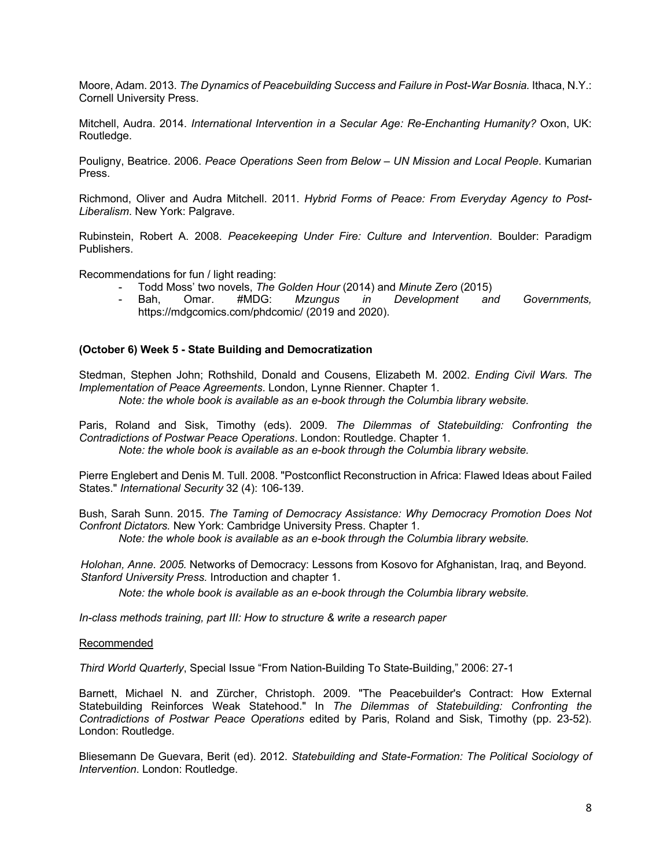Moore, Adam. 2013. *The Dynamics of Peacebuilding Success and Failure in Post-War Bosnia.* Ithaca, N.Y.: Cornell University Press.

Mitchell, Audra. 2014. *International Intervention in a Secular Age: Re-Enchanting Humanity?* Oxon, UK: Routledge.

Pouligny, Beatrice. 2006. *Peace Operations Seen from Below – UN Mission and Local People*. Kumarian Press.

Richmond, Oliver and Audra Mitchell. 2011. *Hybrid Forms of Peace: From Everyday Agency to Post-Liberalism*. New York: Palgrave.

Rubinstein, Robert A. 2008. *Peacekeeping Under Fire: Culture and Intervention*. Boulder: Paradigm Publishers.

Recommendations for fun / light reading:

- Todd Moss' two novels, *The Golden Hour* (2014) and *Minute Zero* (2015)
- Bah, Omar. #MDG: *Mzungus in Development and Governments,*  https://mdgcomics.com/phdcomic/ (2019 and 2020).

### **(October 6) Week 5 - State Building and Democratization**

Stedman, Stephen John; Rothshild, Donald and Cousens, Elizabeth M. 2002. *Ending Civil Wars. The Implementation of Peace Agreements*. London, Lynne Rienner. Chapter 1. *Note: the whole book is available as an e-book through the Columbia library website.*

Paris, Roland and Sisk, Timothy (eds). 2009. *The Dilemmas of Statebuilding: Confronting the Contradictions of Postwar Peace Operations*. London: Routledge. Chapter 1. *Note: the whole book is available as an e-book through the Columbia library website.*

Pierre Englebert and Denis M. Tull. 2008. "Postconflict Reconstruction in Africa: Flawed Ideas about Failed States." *International Security* 32 (4): 106-139.

Bush, Sarah Sunn. 2015. *The Taming of Democracy Assistance: Why Democracy Promotion Does Not Confront Dictators.* New York: Cambridge University Press. Chapter 1. *Note: the whole book is available as an e-book through the Columbia library website.*

*Holohan, Anne. 2005.* Networks of Democracy: Lessons from Kosovo for Afghanistan, Iraq, and Beyond*. Stanford University Press.* Introduction and chapter 1.

*Note: the whole book is available as an e-book through the Columbia library website.*

*In-class methods training, part III: How to structure & write a research paper*

#### Recommended

*Third World Quarterly*, Special Issue "From Nation-Building To State-Building," 2006: 27-1

Barnett, Michael N. and Zürcher, Christoph. 2009. "The Peacebuilder's Contract: How External Statebuilding Reinforces Weak Statehood." In *The Dilemmas of Statebuilding: Confronting the Contradictions of Postwar Peace Operations* edited by Paris, Roland and Sisk, Timothy (pp. 23-52). London: Routledge.

Bliesemann De Guevara, Berit (ed). 2012. *Statebuilding and State-Formation: The Political Sociology of Intervention*. London: Routledge.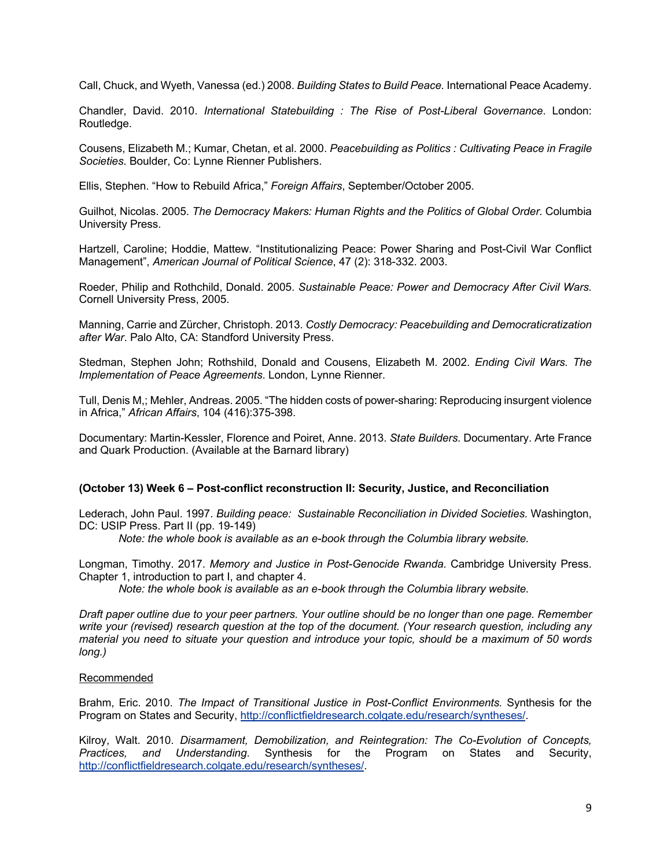Call, Chuck, and Wyeth, Vanessa (ed.) 2008. *Building States to Build Peace.* International Peace Academy.

Chandler, David. 2010. *International Statebuilding : The Rise of Post-Liberal Governance*. London: Routledge.

Cousens, Elizabeth M.; Kumar, Chetan, et al. 2000. *Peacebuilding as Politics : Cultivating Peace in Fragile Societies*. Boulder, Co: Lynne Rienner Publishers.

Ellis, Stephen. "How to Rebuild Africa," *Foreign Affairs*, September/October 2005.

Guilhot, Nicolas. 2005. *The Democracy Makers: Human Rights and the Politics of Global Order*. Columbia University Press.

Hartzell, Caroline; Hoddie, Mattew. "Institutionalizing Peace: Power Sharing and Post-Civil War Conflict Management", *American Journal of Political Science*, 47 (2): 318-332. 2003.

Roeder, Philip and Rothchild, Donald. 2005. *Sustainable Peace: Power and Democracy After Civil Wars.*  Cornell University Press, 2005.

Manning, Carrie and Zürcher, Christoph. 2013. *Costly Democracy: Peacebuilding and Democraticratization after War*. Palo Alto, CA: Standford University Press.

Stedman, Stephen John; Rothshild, Donald and Cousens, Elizabeth M. 2002. *Ending Civil Wars. The Implementation of Peace Agreements*. London, Lynne Rienner.

Tull, Denis M,; Mehler, Andreas. 2005. "The hidden costs of power-sharing: Reproducing insurgent violence in Africa," *African Affairs*, 104 (416):375-398.

Documentary: Martin-Kessler, Florence and Poiret, Anne. 2013. *State Builders*. Documentary. Arte France and Quark Production. (Available at the Barnard library)

## **(October 13) Week 6 – Post-conflict reconstruction II: Security, Justice, and Reconciliation**

Lederach, John Paul. 1997. *Building peace: Sustainable Reconciliation in Divided Societies.* Washington, DC: USIP Press. Part II (pp. 19-149)

*Note: the whole book is available as an e-book through the Columbia library website.*

Longman, Timothy. 2017. *Memory and Justice in Post-Genocide Rwanda.* Cambridge University Press. Chapter 1, introduction to part I, and chapter 4.

*Note: the whole book is available as an e-book through the Columbia library website.*

*Draft paper outline due to your peer partners. Your outline should be no longer than one page. Remember write your (revised) research question at the top of the document. (Your research question, including any material you need to situate your question and introduce your topic, should be a maximum of 50 words long.)*

#### Recommended

Brahm, Eric. 2010. *The Impact of Transitional Justice in Post-Conflict Environments.* Synthesis for the Program on States and Security, http://conflictfieldresearch.colgate.edu/research/syntheses/.

Kilroy, Walt. 2010. *Disarmament, Demobilization, and Reintegration: The Co-Evolution of Concepts, Practices, and Understanding*. Synthesis for the Program on States and Security, http://conflictfieldresearch.colgate.edu/research/syntheses/.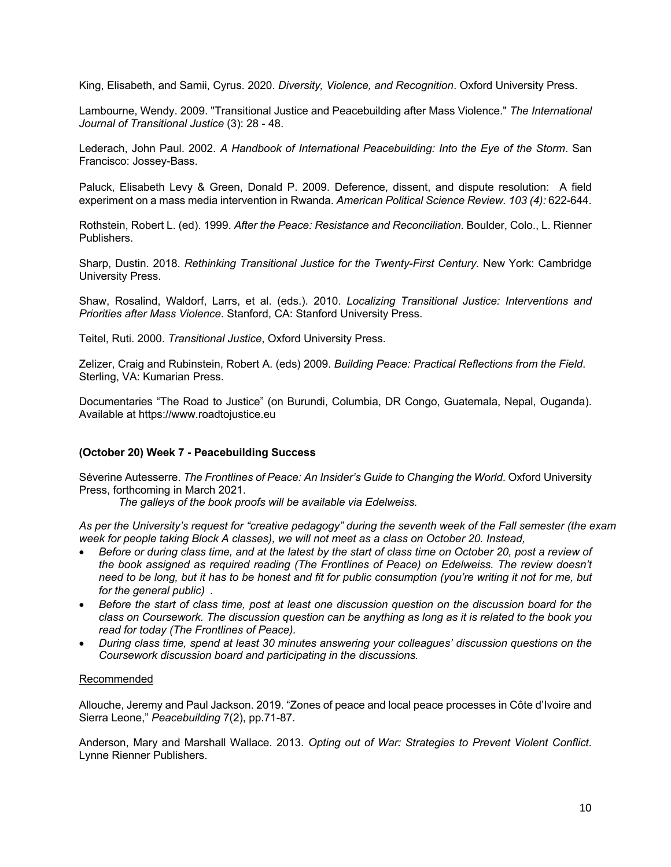King, Elisabeth, and Samii, Cyrus. 2020. *Diversity, Violence, and Recognition*. Oxford University Press.

Lambourne, Wendy. 2009. "Transitional Justice and Peacebuilding after Mass Violence." *The International Journal of Transitional Justice* (3): 28 - 48.

Lederach, John Paul. 2002. *A Handbook of International Peacebuilding: Into the Eye of the Storm*. San Francisco: Jossey-Bass.

Paluck, Elisabeth Levy & Green, Donald P. 2009. Deference, dissent, and dispute resolution: A field experiment on a mass media intervention in Rwanda. *American Political Science Review. 103 (4):* 622-644.

Rothstein, Robert L. (ed). 1999. *After the Peace: Resistance and Reconciliation*. Boulder, Colo., L. Rienner Publishers.

Sharp, Dustin. 2018. *Rethinking Transitional Justice for the Twenty-First Century.* New York: Cambridge University Press.

Shaw, Rosalind, Waldorf, Larrs, et al. (eds.). 2010. *Localizing Transitional Justice: Interventions and Priorities after Mass Violence*. Stanford, CA: Stanford University Press.

Teitel, Ruti. 2000. *Transitional Justice*, Oxford University Press.

Zelizer, Craig and Rubinstein, Robert A. (eds) 2009. *Building Peace: Practical Reflections from the Field*. Sterling, VA: Kumarian Press.

Documentaries "The Road to Justice" (on Burundi, Columbia, DR Congo, Guatemala, Nepal, Ouganda). Available at https://www.roadtojustice.eu

## **(October 20) Week 7 - Peacebuilding Success**

Séverine Autesserre. *The Frontlines of Peace: An Insider's Guide to Changing the World*. Oxford University Press, forthcoming in March 2021.

*The galleys of the book proofs will be available via Edelweiss.* 

*As per the University's request for "creative pedagogy" during the seventh week of the Fall semester (the exam week for people taking Block A classes), we will not meet as a class on October 20. Instead,*

- *Before or during class time, and at the latest by the start of class time on October 20, post a review of the book assigned as required reading (The Frontlines of Peace) on Edelweiss. The review doesn't need to be long, but it has to be honest and fit for public consumption (you're writing it not for me, but for the general public) .*
- *Before the start of class time, post at least one discussion question on the discussion board for the class on Coursework. The discussion question can be anything as long as it is related to the book you read for today (The Frontlines of Peace).*
- *During class time, spend at least 30 minutes answering your colleagues' discussion questions on the Coursework discussion board and participating in the discussions.*

## Recommended

Allouche, Jeremy and Paul Jackson. 2019. "Zones of peace and local peace processes in Côte d'Ivoire and Sierra Leone," *Peacebuilding* 7(2), pp.71-87.

Anderson, Mary and Marshall Wallace. 2013. *Opting out of War: Strategies to Prevent Violent Conflict*. Lynne Rienner Publishers.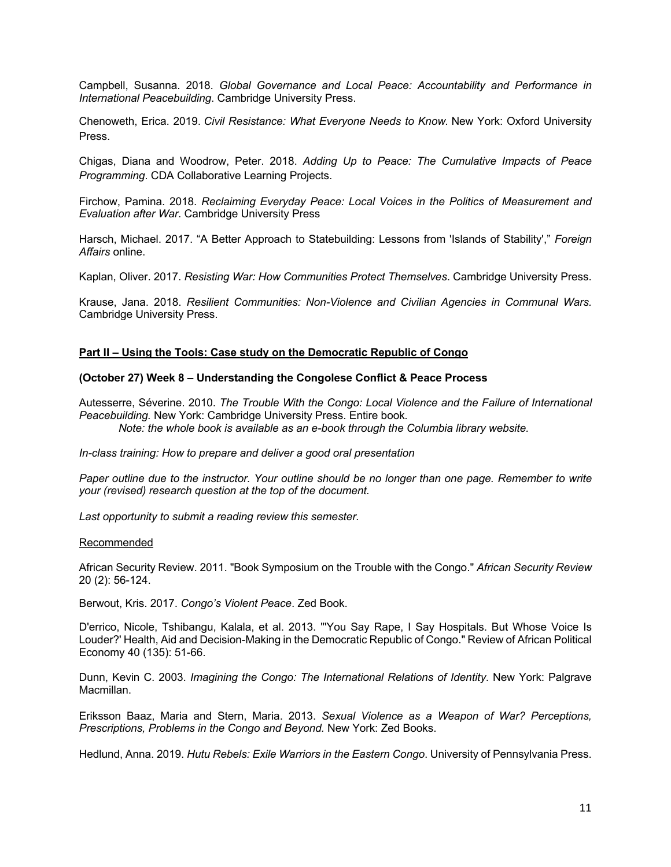Campbell, Susanna. 2018. *Global Governance and Local Peace: Accountability and Performance in International Peacebuilding*. Cambridge University Press.

Chenoweth, Erica. 2019. *Civil Resistance: What Everyone Needs to Know.* New York: Oxford University Press.

Chigas, Diana and Woodrow, Peter. 2018. *Adding Up to Peace: The Cumulative Impacts of Peace Programming*. CDA Collaborative Learning Projects.

Firchow, Pamina. 2018. *Reclaiming Everyday Peace: Local Voices in the Politics of Measurement and Evaluation after War*. Cambridge University Press

Harsch, Michael. 2017. "A Better Approach to Statebuilding: Lessons from 'Islands of Stability'," *Foreign Affairs* online.

Kaplan, Oliver. 2017. *Resisting War: How Communities Protect Themselves*. Cambridge University Press.

Krause, Jana. 2018. *Resilient Communities: Non-Violence and Civilian Agencies in Communal Wars.* Cambridge University Press.

### **Part II – Using the Tools: Case study on the Democratic Republic of Congo**

#### **(October 27) Week 8 – Understanding the Congolese Conflict & Peace Process**

Autesserre, Séverine. 2010. *The Trouble With the Congo: Local Violence and the Failure of International Peacebuilding.* New York: Cambridge University Press. Entire book*. Note: the whole book is available as an e-book through the Columbia library website.*

*In-class training: How to prepare and deliver a good oral presentation*

*Paper outline due to the instructor. Your outline should be no longer than one page. Remember to write your (revised) research question at the top of the document.*

*Last opportunity to submit a reading review this semester.*

#### Recommended

African Security Review. 2011. "Book Symposium on the Trouble with the Congo." *African Security Review* 20 (2): 56-124.

Berwout, Kris. 2017. *Congo's Violent Peace*. Zed Book.

D'errico, Nicole, Tshibangu, Kalala, et al. 2013. "'You Say Rape, I Say Hospitals. But Whose Voice Is Louder?' Health, Aid and Decision-Making in the Democratic Republic of Congo." Review of African Political Economy 40 (135): 51-66.

Dunn, Kevin C. 2003. *Imagining the Congo: The International Relations of Identity*. New York: Palgrave Macmillan.

Eriksson Baaz, Maria and Stern, Maria. 2013. *Sexual Violence as a Weapon of War? Perceptions, Prescriptions, Problems in the Congo and Beyond.* New York: Zed Books.

Hedlund, Anna. 2019. *Hutu Rebels: Exile Warriors in the Eastern Congo*. University of Pennsylvania Press.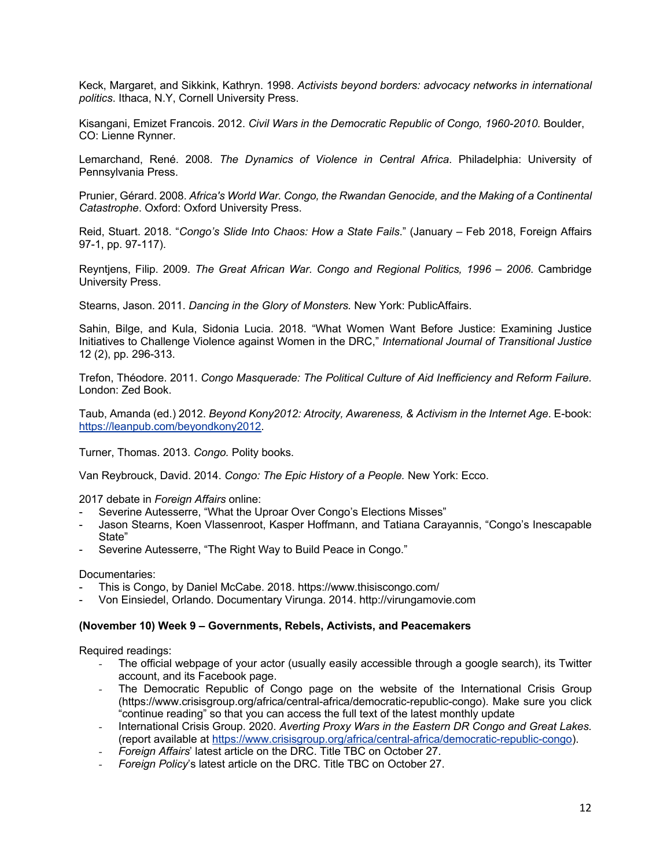Keck, Margaret, and Sikkink, Kathryn. 1998. *Activists beyond borders: advocacy networks in international politics*. Ithaca, N.Y, Cornell University Press.

Kisangani, Emizet Francois. 2012. *Civil Wars in the Democratic Republic of Congo, 1960-2010.* Boulder, CO: Lienne Rynner.

Lemarchand, René. 2008. *The Dynamics of Violence in Central Africa*. Philadelphia: University of Pennsylvania Press.

Prunier, Gérard. 2008. *Africa's World War. Congo, the Rwandan Genocide, and the Making of a Continental Catastrophe*. Oxford: Oxford University Press.

Reid, Stuart. 2018. "*Congo's Slide Into Chaos: How a State Fails*." (January – Feb 2018, Foreign Affairs 97-1, pp. 97-117).

Reyntjens, Filip. 2009. *The Great African War. Congo and Regional Politics, 1996 – 2006*. Cambridge University Press.

Stearns, Jason. 2011. *Dancing in the Glory of Monsters.* New York: PublicAffairs.

Sahin, Bilge, and Kula, Sidonia Lucia. 2018. "What Women Want Before Justice: Examining Justice Initiatives to Challenge Violence against Women in the DRC," *International Journal of Transitional Justice* 12 (2), pp. 296-313.

Trefon, Théodore. 2011. *Congo Masquerade: The Political Culture of Aid Inefficiency and Reform Failure.* London: Zed Book.

Taub, Amanda (ed.) 2012. *Beyond Kony2012: Atrocity, Awareness, & Activism in the Internet Age*. E-book: https://leanpub.com/beyondkony2012.

Turner, Thomas. 2013. *Congo.* Polity books.

Van Reybrouck, David. 2014. *Congo: The Epic History of a People.* New York: Ecco.

2017 debate in *Foreign Affairs* online:

- Severine Autesserre, "What the Uproar Over Congo's Elections Misses"
- Jason Stearns, Koen Vlassenroot, Kasper Hoffmann, and Tatiana Carayannis, "Congo's Inescapable State"
- Severine Autesserre, "The Right Way to Build Peace in Congo."

Documentaries:

- This is Congo, by Daniel McCabe. 2018. https://www.thisiscongo.com/
- Von Einsiedel, Orlando. Documentary Virunga. 2014. http://virungamovie.com

## **(November 10) Week 9 – Governments, Rebels, Activists, and Peacemakers**

Required readings:

- *-* The official webpage of your actor (usually easily accessible through a google search), its Twitter account, and its Facebook page.
- *-* The Democratic Republic of Congo page on the website of the International Crisis Group (https://www.crisisgroup.org/africa/central-africa/democratic-republic-congo). Make sure you click "continue reading" so that you can access the full text of the latest monthly update
- *-* International Crisis Group. 2020. *Averting Proxy Wars in the Eastern DR Congo and Great Lakes.*  (report available at https://www.crisisgroup.org/africa/central-africa/democratic-republic-congo).
- *- Foreign Affairs*' latest article on the DRC. Title TBC on October 27.
- *- Foreign Policy*'s latest article on the DRC. Title TBC on October 27.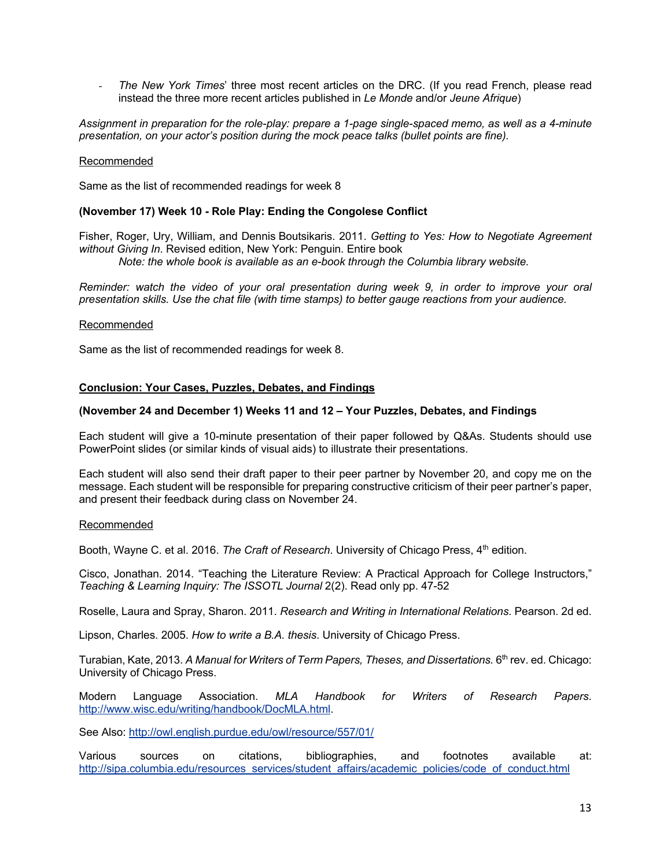*- The New York Times*' three most recent articles on the DRC. (If you read French, please read instead the three more recent articles published in *Le Monde* and/or *Jeune Afrique*)

*Assignment in preparation for the role-play: prepare a 1-page single-spaced memo, as well as a 4-minute presentation, on your actor's position during the mock peace talks (bullet points are fine).* 

### Recommended

Same as the list of recommended readings for week 8

### **(November 17) Week 10 - Role Play: Ending the Congolese Conflict**

Fisher, Roger, Ury, William, and Dennis Boutsikaris. 2011. *Getting to Yes: How to Negotiate Agreement without Giving In*. Revised edition, New York: Penguin. Entire book *Note: the whole book is available as an e-book through the Columbia library website.*

*Reminder: watch the video of your oral presentation during week 9, in order to improve your oral presentation skills. Use the chat file (with time stamps) to better gauge reactions from your audience.*

#### Recommended

Same as the list of recommended readings for week 8.

### **Conclusion: Your Cases, Puzzles, Debates, and Findings**

### **(November 24 and December 1) Weeks 11 and 12 – Your Puzzles, Debates, and Findings**

Each student will give a 10-minute presentation of their paper followed by Q&As. Students should use PowerPoint slides (or similar kinds of visual aids) to illustrate their presentations.

Each student will also send their draft paper to their peer partner by November 20, and copy me on the message. Each student will be responsible for preparing constructive criticism of their peer partner's paper, and present their feedback during class on November 24.

#### Recommended

Booth, Wayne C. et al. 2016. *The Craft of Research*. University of Chicago Press, 4<sup>th</sup> edition.

Cisco, Jonathan. 2014. "Teaching the Literature Review: A Practical Approach for College Instructors," *Teaching & Learning Inquiry: The ISSOTL Journal* 2(2). Read only pp. 47-52

Roselle, Laura and Spray, Sharon. 2011. *Research and Writing in International Relations*. Pearson. 2d ed.

Lipson, Charles. 2005. *How to write a B.A. thesis*. University of Chicago Press.

Turabian, Kate, 2013. A Manual for Writers of Term Papers, Theses, and Dissertations. 6<sup>th</sup> rev. ed. Chicago: University of Chicago Press.

Modern Language Association. *MLA Handbook for Writers of Research Papers*. http://www.wisc.edu/writing/handbook/DocMLA.html.

See Also: http://owl.english.purdue.edu/owl/resource/557/01/

Various sources on citations, bibliographies, and footnotes available at: http://sipa.columbia.edu/resources\_services/student\_affairs/academic\_policies/code\_of\_conduct.html